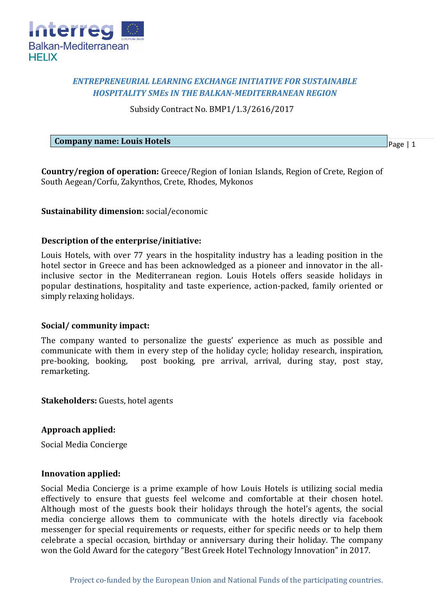

# *ENTREPRENEURIAL LEARNING EXCHANGE INITIATIVE FOR SUSTAINABLE HOSPITALITY SMEs IN THE BALKAN-MEDITERRANEAN REGION*

Subsidy Contract No. BMP1/1.3/2616/2017

**Company name: Louis Hotels**

Page | 1

**Country/region of operation:** Greece/Region of Ionian Islands, Region of Crete, Region of South Aegean/Corfu, Zakynthos, Crete, Rhodes, Mykonos

# **Sustainability dimension:** social/economic

### **Description of the enterprise/initiative:**

Louis Hotels, with over 77 years in the hospitality industry has a leading position in the hotel sector in Greece and has been acknowledged as a pioneer and innovator in the allinclusive sector in the Mediterranean region. Louis Hotels offers seaside holidays in popular destinations, hospitality and taste experience, action-packed, family oriented or simply relaxing holidays.

### **Social/ community impact:**

The company wanted to personalize the guests' experience as much as possible and communicate with them in every step of the holiday cycle; holiday research, inspiration, pre-booking, booking, post booking, pre arrival, arrival, during stay, post stay, remarketing.

**Stakeholders:** Guests, hotel agents

### **Approach applied:**

Social Media Concierge

### **Innovation applied:**

Social Media Concierge is a prime example of how Louis Hotels is utilizing social media effectively to ensure that guests feel welcome and comfortable at their chosen hotel. Although most of the guests book their holidays through the hotel's agents, the social media concierge allows them to communicate with the hotels directly via facebook messenger for special requirements or requests, either for specific needs or to help them celebrate a special occasion, birthday or anniversary during their holiday. The company won the Gold Award for the category "Best Greek Hotel Technology Innovation" in 2017.